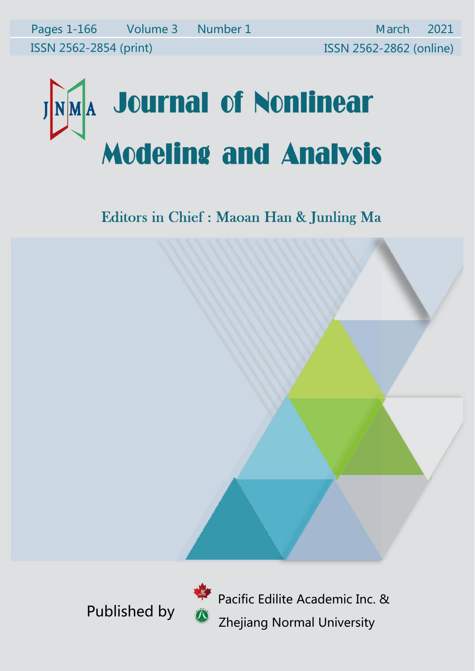Editors in Chief : Maoan Han & Junling Ma



Published by **CALC ACCEPTED**<br>Thejiang Normal University Pacific Edilite Academic Inc. &<br>Pacific Edilite Academic Inc. &<br>Zhejiang Normal University Pacific Edilite Academic Inc. &<br>Zhejiang Normal University